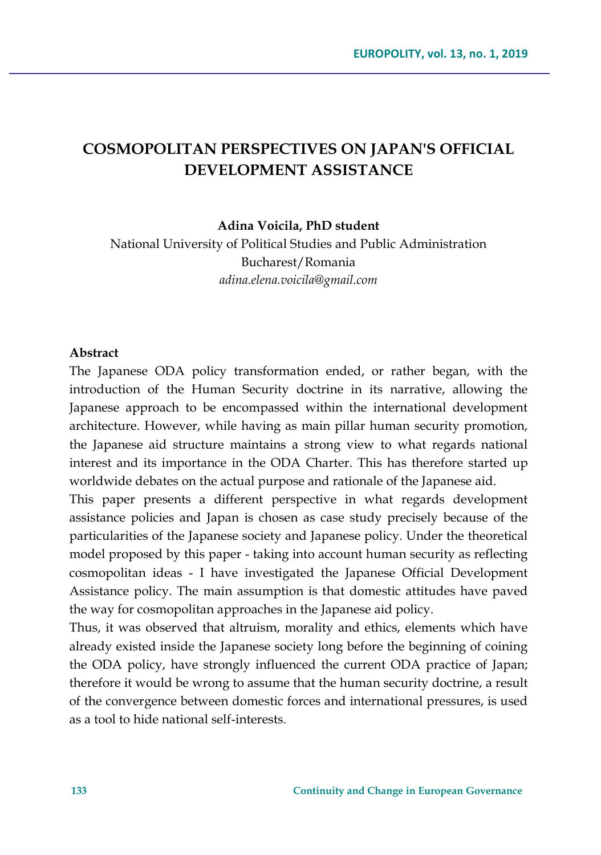# **COSMOPOLITAN PERSPECTIVES ON JAPAN'S OFFICIAL DEVELOPMENT ASSISTANCE**

**Adina Voicila, PhD student**

National University of Political Studies and Public Administration Bucharest/Romania *adina.elena.voicila@gmail.com*

#### **Abstract**

The Japanese ODA policy transformation ended, or rather began, with the introduction of the Human Security doctrine in its narrative, allowing the Japanese approach to be encompassed within the international development architecture. However, while having as main pillar human security promotion, the Japanese aid structure maintains a strong view to what regards national interest and its importance in the ODA Charter. This has therefore started up worldwide debates on the actual purpose and rationale of the Japanese aid.

This paper presents a different perspective in what regards development assistance policies and Japan is chosen as case study precisely because of the particularities of the Japanese society and Japanese policy. Under the theoretical model proposed by this paper - taking into account human security as reflecting cosmopolitan ideas - I have investigated the Japanese Official Development Assistance policy. The main assumption is that domestic attitudes have paved the way for cosmopolitan approaches in the Japanese aid policy.

Thus, it was observed that altruism, morality and ethics, elements which have already existed inside the Japanese society long before the beginning of coining the ODA policy, have strongly influenced the current ODA practice of Japan; therefore it would be wrong to assume that the human security doctrine, a result of the convergence between domestic forces and international pressures, is used as a tool to hide national self-interests.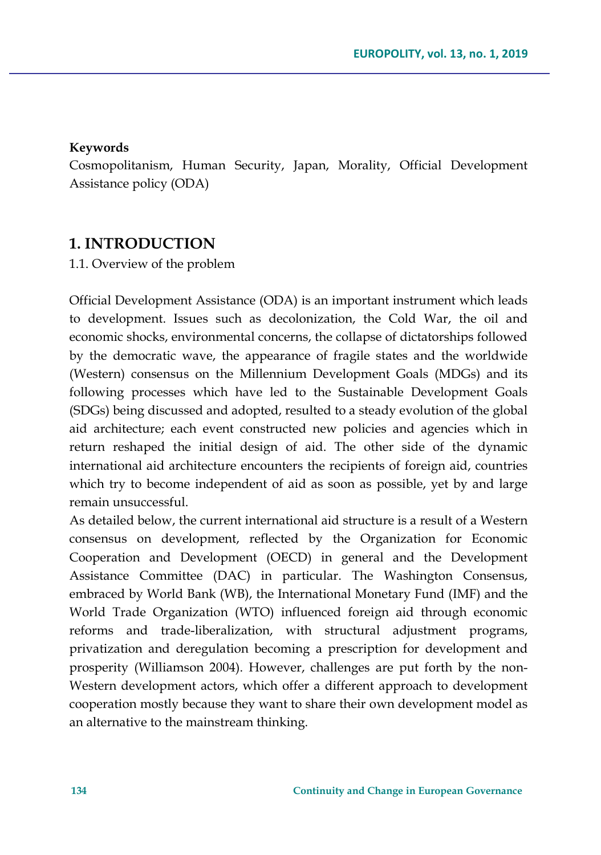#### **Keywords**

Cosmopolitanism, Human Security, Japan, Morality, Official Development Assistance policy (ODA)

### **1. INTRODUCTION**

1.1. Overview of the problem

Official Development Assistance (ODA) is an important instrument which leads to development. Issues such as decolonization, the Cold War, the oil and economic shocks, environmental concerns, the collapse of dictatorships followed by the democratic wave, the appearance of fragile states and the worldwide (Western) consensus on the Millennium Development Goals (MDGs) and its following processes which have led to the Sustainable Development Goals (SDGs) being discussed and adopted, resulted to a steady evolution of the global aid architecture; each event constructed new policies and agencies which in return reshaped the initial design of aid. The other side of the dynamic international aid architecture encounters the recipients of foreign aid, countries which try to become independent of aid as soon as possible, yet by and large remain unsuccessful.

As detailed below, the current international aid structure is a result of a Western consensus on development, reflected by the Organization for Economic Cooperation and Development (OECD) in general and the Development Assistance Committee (DAC) in particular. The Washington Consensus, embraced by World Bank (WB), the International Monetary Fund (IMF) and the World Trade Organization (WTO) influenced foreign aid through economic reforms and trade-liberalization, with structural adjustment programs, privatization and deregulation becoming a prescription for development and prosperity (Williamson 2004). However, challenges are put forth by the non-Western development actors, which offer a different approach to development cooperation mostly because they want to share their own development model as an alternative to the mainstream thinking.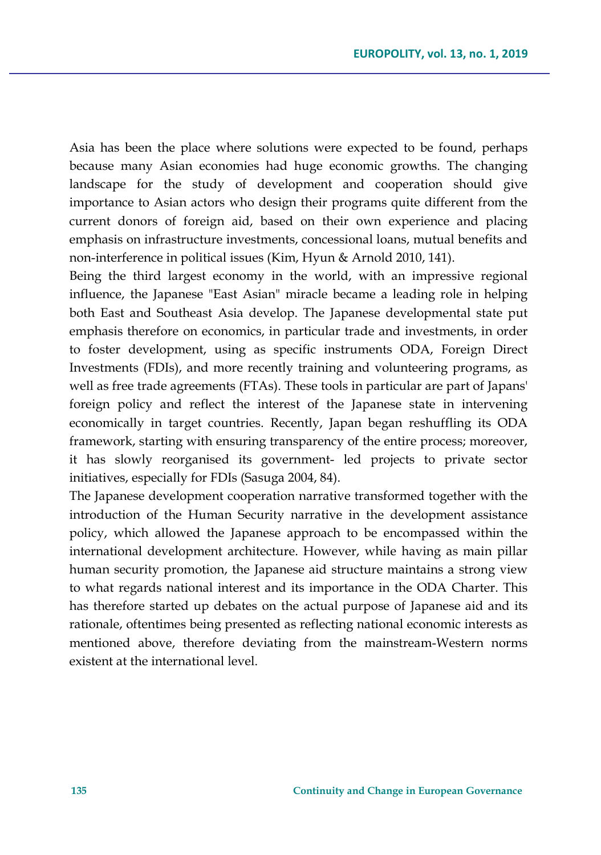Asia has been the place where solutions were expected to be found, perhaps because many Asian economies had huge economic growths. The changing landscape for the study of development and cooperation should give importance to Asian actors who design their programs quite different from the current donors of foreign aid, based on their own experience and placing emphasis on infrastructure investments, concessional loans, mutual benefits and non-interference in political issues (Kim, Hyun & Arnold 2010, 141).

Being the third largest economy in the world, with an impressive regional influence, the Japanese "East Asian" miracle became a leading role in helping both East and Southeast Asia develop. The Japanese developmental state put emphasis therefore on economics, in particular trade and investments, in order to foster development, using as specific instruments ODA, Foreign Direct Investments (FDIs), and more recently training and volunteering programs, as well as free trade agreements (FTAs). These tools in particular are part of Japans' foreign policy and reflect the interest of the Japanese state in intervening economically in target countries. Recently, Japan began reshuffling its ODA framework, starting with ensuring transparency of the entire process; moreover, it has slowly reorganised its government- led projects to private sector initiatives, especially for FDIs (Sasuga 2004, 84).

The Japanese development cooperation narrative transformed together with the introduction of the Human Security narrative in the development assistance policy, which allowed the Japanese approach to be encompassed within the international development architecture. However, while having as main pillar human security promotion, the Japanese aid structure maintains a strong view to what regards national interest and its importance in the ODA Charter. This has therefore started up debates on the actual purpose of Japanese aid and its rationale, oftentimes being presented as reflecting national economic interests as mentioned above, therefore deviating from the mainstream-Western norms existent at the international level.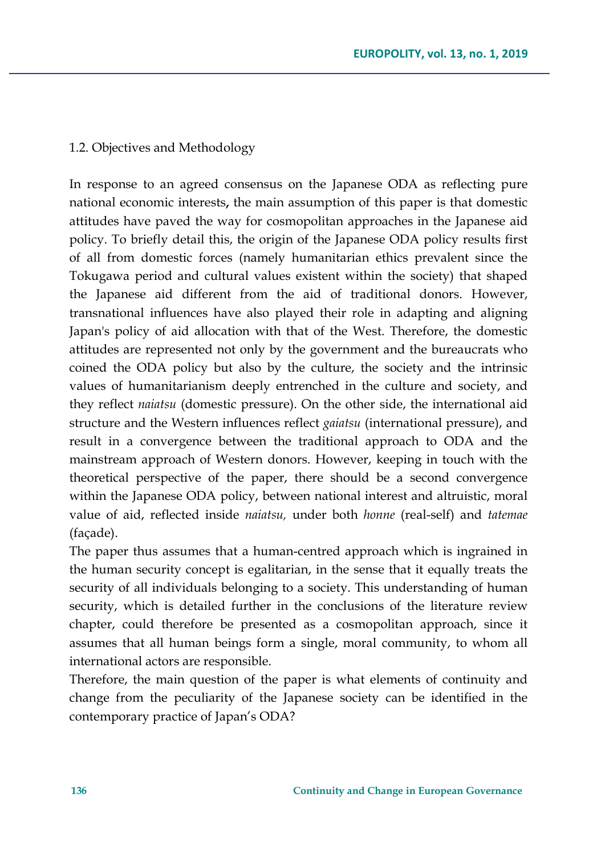### 1.2. Objectives and Methodology

In response to an agreed consensus on the Japanese ODA as reflecting pure national economic interests**,** the main assumption of this paper is that domestic attitudes have paved the way for cosmopolitan approaches in the Japanese aid policy. To briefly detail this, the origin of the Japanese ODA policy results first of all from domestic forces (namely humanitarian ethics prevalent since the Tokugawa period and cultural values existent within the society) that shaped the Japanese aid different from the aid of traditional donors. However, transnational influences have also played their role in adapting and aligning Japan's policy of aid allocation with that of the West. Therefore, the domestic attitudes are represented not only by the government and the bureaucrats who coined the ODA policy but also by the culture, the society and the intrinsic values of humanitarianism deeply entrenched in the culture and society, and they reflect *naiatsu* (domestic pressure). On the other side, the international aid structure and the Western influences reflect *gaiatsu* (international pressure), and result in a convergence between the traditional approach to ODA and the mainstream approach of Western donors. However, keeping in touch with the theoretical perspective of the paper, there should be a second convergence within the Japanese ODA policy, between national interest and altruistic, moral value of aid, reflected inside *naiatsu,* under both *honne* (real-self) and *tatemae* (façade).

The paper thus assumes that a human-centred approach which is ingrained in the human security concept is egalitarian, in the sense that it equally treats the security of all individuals belonging to a society. This understanding of human security, which is detailed further in the conclusions of the literature review chapter, could therefore be presented as a cosmopolitan approach, since it assumes that all human beings form a single, moral community, to whom all international actors are responsible.

Therefore, the main question of the paper is what elements of continuity and change from the peculiarity of the Japanese society can be identified in the contemporary practice of Japan's ODA?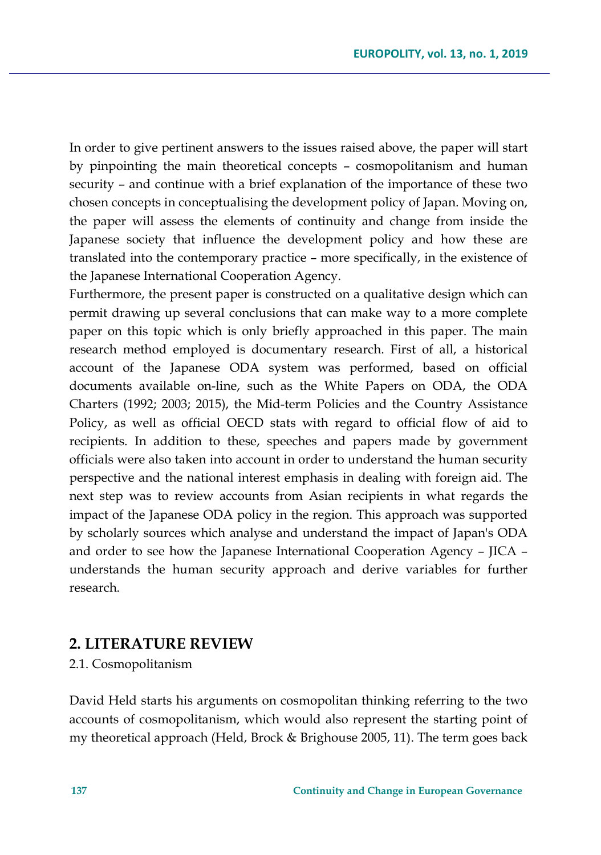In order to give pertinent answers to the issues raised above, the paper will start by pinpointing the main theoretical concepts – cosmopolitanism and human security – and continue with a brief explanation of the importance of these two chosen concepts in conceptualising the development policy of Japan. Moving on, the paper will assess the elements of continuity and change from inside the Japanese society that influence the development policy and how these are translated into the contemporary practice – more specifically, in the existence of the Japanese International Cooperation Agency.

Furthermore, the present paper is constructed on a qualitative design which can permit drawing up several conclusions that can make way to a more complete paper on this topic which is only briefly approached in this paper. The main research method employed is documentary research. First of all, a historical account of the Japanese ODA system was performed, based on official documents available on-line, such as the White Papers on ODA, the ODA Charters (1992; 2003; 2015), the Mid-term Policies and the Country Assistance Policy, as well as official OECD stats with regard to official flow of aid to recipients. In addition to these, speeches and papers made by government officials were also taken into account in order to understand the human security perspective and the national interest emphasis in dealing with foreign aid. The next step was to review accounts from Asian recipients in what regards the impact of the Japanese ODA policy in the region. This approach was supported by scholarly sources which analyse and understand the impact of Japan's ODA and order to see how the Japanese International Cooperation Agency – JICA – understands the human security approach and derive variables for further research.

### **2. LITERATURE REVIEW**

2.1. Cosmopolitanism

David Held starts his arguments on cosmopolitan thinking referring to the two accounts of cosmopolitanism, which would also represent the starting point of my theoretical approach (Held, Brock & Brighouse 2005, 11). The term goes back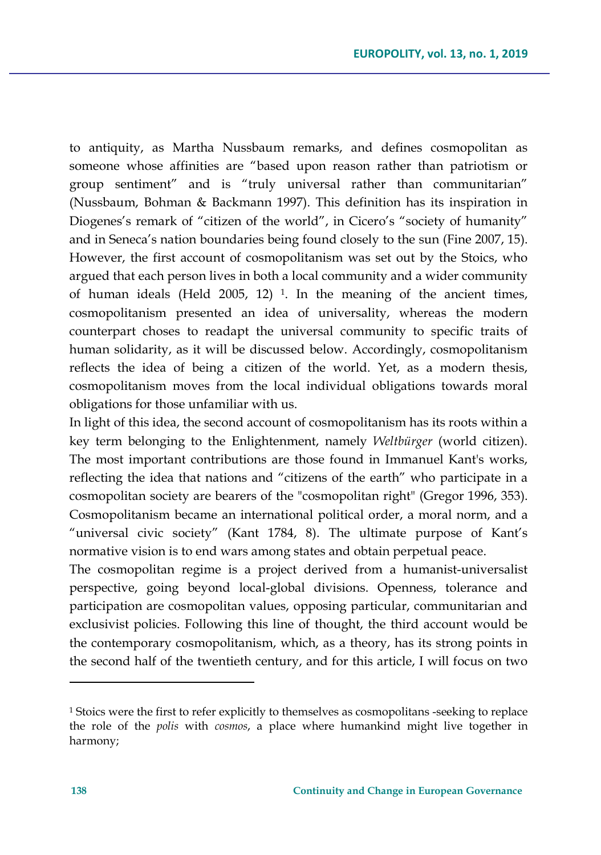to antiquity, as Martha Nussbaum remarks, and defines cosmopolitan as someone whose affinities are "based upon reason rather than patriotism or group sentiment" and is "truly universal rather than communitarian" (Nussbaum, Bohman & Backmann 1997). This definition has its inspiration in Diogenes's remark of "citizen of the world", in Cicero's "society of humanity" and in Seneca's nation boundaries being found closely to the sun (Fine 2007, 15). However, the first account of cosmopolitanism was set out by the Stoics, who argued that each person lives in both a local community and a wider community of human ideals (Held 2005, 12) [1](#page-5-0). In the meaning of the ancient times, cosmopolitanism presented an idea of universality, whereas the modern counterpart choses to readapt the universal community to specific traits of human solidarity, as it will be discussed below. Accordingly, cosmopolitanism reflects the idea of being a citizen of the world. Yet, as a modern thesis, cosmopolitanism moves from the local individual obligations towards moral obligations for those unfamiliar with us.

In light of this idea, the second account of cosmopolitanism has its roots within a key term belonging to the Enlightenment, namely *Weltbürger* (world citizen). The most important contributions are those found in Immanuel Kant's works, reflecting the idea that nations and "citizens of the earth" who participate in a cosmopolitan society are bearers of the "cosmopolitan right" (Gregor 1996, 353). Cosmopolitanism became an international political order, a moral norm, and a "universal civic society" (Kant 1784, 8). The ultimate purpose of Kant's normative vision is to end wars among states and obtain perpetual peace.

The cosmopolitan regime is a project derived from a humanist-universalist perspective, going beyond local-global divisions. Openness, tolerance and participation are cosmopolitan values, opposing particular, communitarian and exclusivist policies. Following this line of thought, the third account would be the contemporary cosmopolitanism, which, as a theory, has its strong points in the second half of the twentieth century, and for this article, I will focus on two

 $\overline{\phantom{a}}$ 

<span id="page-5-0"></span><sup>1</sup> Stoics were the first to refer explicitly to themselves as cosmopolitans -seeking to replace the role of the *polis* with *cosmos*, a place where humankind might live together in harmony;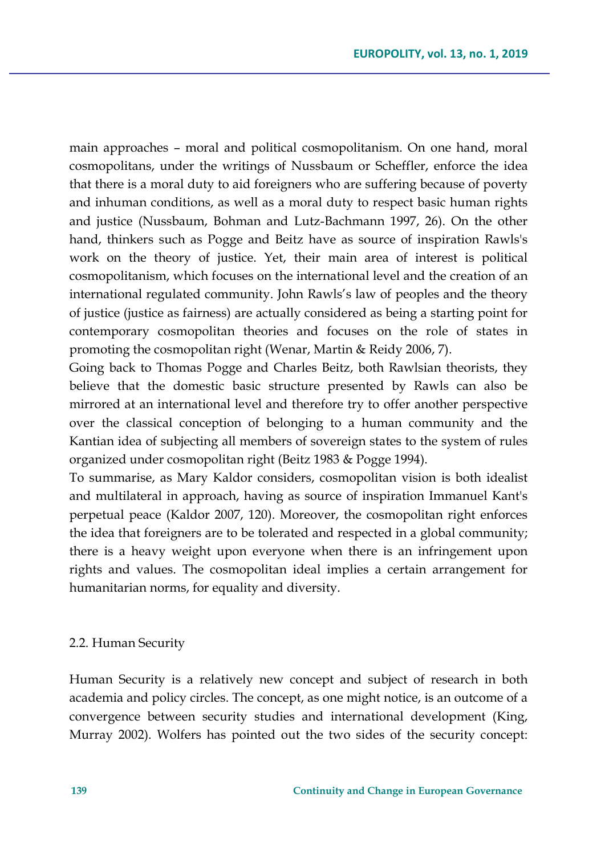main approaches – moral and political cosmopolitanism. On one hand, moral cosmopolitans, under the writings of Nussbaum or Scheffler, enforce the idea that there is a moral duty to aid foreigners who are suffering because of poverty and inhuman conditions, as well as a moral duty to respect basic human rights and justice (Nussbaum, Bohman and Lutz-Bachmann 1997, 26). On the other hand, thinkers such as Pogge and Beitz have as source of inspiration Rawls's work on the theory of justice. Yet, their main area of interest is political cosmopolitanism, which focuses on the international level and the creation of an international regulated community. John Rawls's law of peoples and the theory of justice (justice as fairness) are actually considered as being a starting point for contemporary cosmopolitan theories and focuses on the role of states in promoting the cosmopolitan right (Wenar, Martin & Reidy 2006, 7).

Going back to Thomas Pogge and Charles Beitz, both Rawlsian theorists, they believe that the domestic basic structure presented by Rawls can also be mirrored at an international level and therefore try to offer another perspective over the classical conception of belonging to a human community and the Kantian idea of subjecting all members of sovereign states to the system of rules organized under cosmopolitan right (Beitz 1983 & Pogge 1994).

To summarise, as Mary Kaldor considers, cosmopolitan vision is both idealist and multilateral in approach, having as source of inspiration Immanuel Kant's perpetual peace (Kaldor 2007, 120). Moreover, the cosmopolitan right enforces the idea that foreigners are to be tolerated and respected in a global community; there is a heavy weight upon everyone when there is an infringement upon rights and values. The cosmopolitan ideal implies a certain arrangement for humanitarian norms, for equality and diversity.

#### 2.2. Human Security

Human Security is a relatively new concept and subject of research in both academia and policy circles. The concept, as one might notice, is an outcome of a convergence between security studies and international development (King, Murray 2002). Wolfers has pointed out the two sides of the security concept: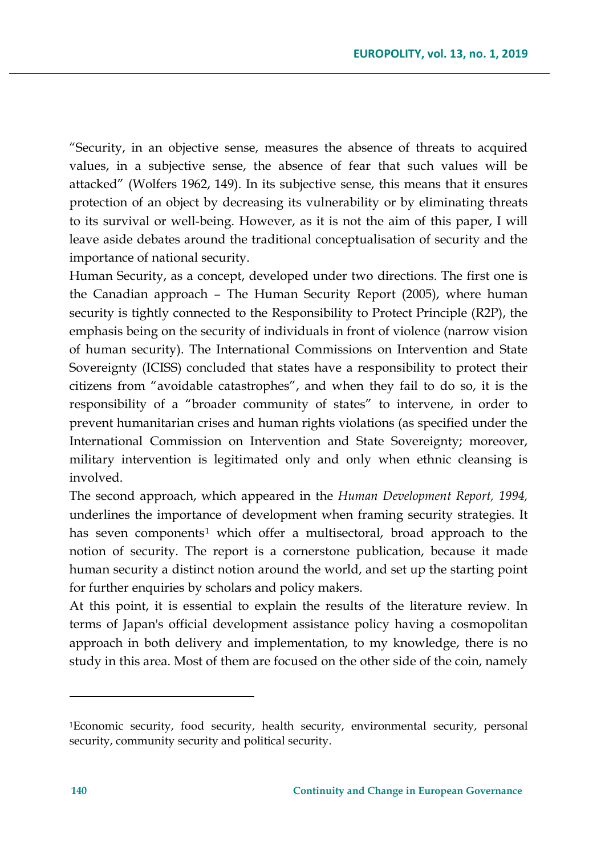"Security, in an objective sense, measures the absence of threats to acquired values, in a subjective sense, the absence of fear that such values will be attacked" (Wolfers 1962, 149). In its subjective sense, this means that it ensures protection of an object by decreasing its vulnerability or by eliminating threats to its survival or well-being. However, as it is not the aim of this paper, I will leave aside debates around the traditional conceptualisation of security and the importance of national security.

Human Security, as a concept, developed under two directions. The first one is the Canadian approach – The Human Security Report (2005), where human security is tightly connected to the Responsibility to Protect Principle (R2P), the emphasis being on the security of individuals in front of violence (narrow vision of human security). The International Commissions on Intervention and State Sovereignty (ICISS) concluded that states have a responsibility to protect their citizens from "avoidable catastrophes", and when they fail to do so, it is the responsibility of a "broader community of states" to intervene, in order to prevent humanitarian crises and human rights violations (as specified under the International Commission on Intervention and State Sovereignty; moreover, military intervention is legitimated only and only when ethnic cleansing is involved.

The second approach, which appeared in the *Human Development Report, 1994,*  underlines the importance of development when framing security strategies. It has seven components<sup>[1](#page-7-0)</sup> which offer a multisectoral, broad approach to the notion of security. The report is a cornerstone publication, because it made human security a distinct notion around the world, and set up the starting point for further enquiries by scholars and policy makers.

At this point, it is essential to explain the results of the literature review. In terms of Japan's official development assistance policy having a cosmopolitan approach in both delivery and implementation, to my knowledge, there is no study in this area. Most of them are focused on the other side of the coin, namely

l

<span id="page-7-0"></span><sup>1</sup>Economic security, food security, health security, environmental security, personal security, community security and political security.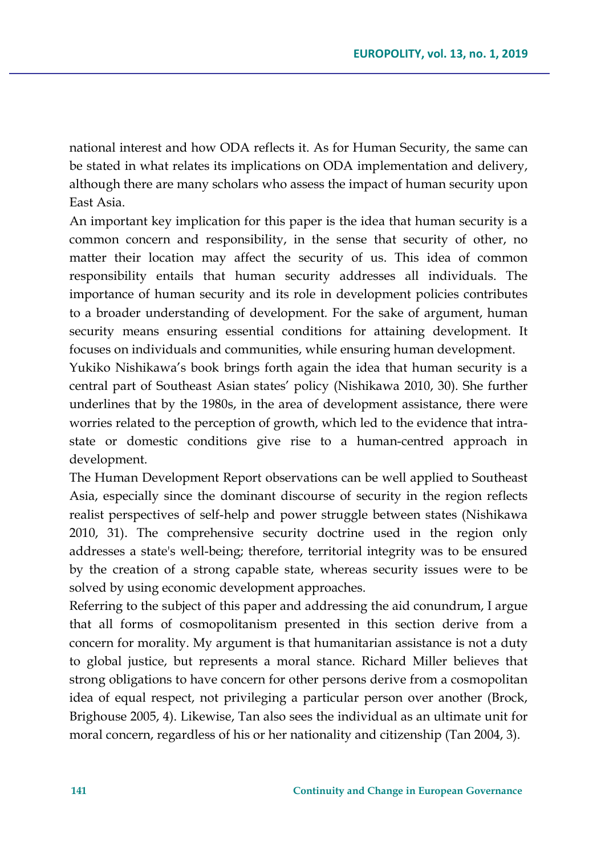national interest and how ODA reflects it. As for Human Security, the same can be stated in what relates its implications on ODA implementation and delivery, although there are many scholars who assess the impact of human security upon East Asia.

An important key implication for this paper is the idea that human security is a common concern and responsibility, in the sense that security of other, no matter their location may affect the security of us. This idea of common responsibility entails that human security addresses all individuals. The importance of human security and its role in development policies contributes to a broader understanding of development*.* For the sake of argument, human security means ensuring essential conditions for attaining development. It focuses on individuals and communities, while ensuring human development.

Yukiko Nishikawa's book brings forth again the idea that human security is a central part of Southeast Asian states' policy (Nishikawa 2010, 30). She further underlines that by the 1980s, in the area of development assistance, there were worries related to the perception of growth, which led to the evidence that intrastate or domestic conditions give rise to a human-centred approach in development.

The Human Development Report observations can be well applied to Southeast Asia, especially since the dominant discourse of security in the region reflects realist perspectives of self-help and power struggle between states (Nishikawa 2010, 31). The comprehensive security doctrine used in the region only addresses a state's well-being; therefore, territorial integrity was to be ensured by the creation of a strong capable state, whereas security issues were to be solved by using economic development approaches.

Referring to the subject of this paper and addressing the aid conundrum, I argue that all forms of cosmopolitanism presented in this section derive from a concern for morality. My argument is that humanitarian assistance is not a duty to global justice, but represents a moral stance. Richard Miller believes that strong obligations to have concern for other persons derive from a cosmopolitan idea of equal respect, not privileging a particular person over another (Brock, Brighouse 2005, 4). Likewise, Tan also sees the individual as an ultimate unit for moral concern, regardless of his or her nationality and citizenship (Tan 2004, 3).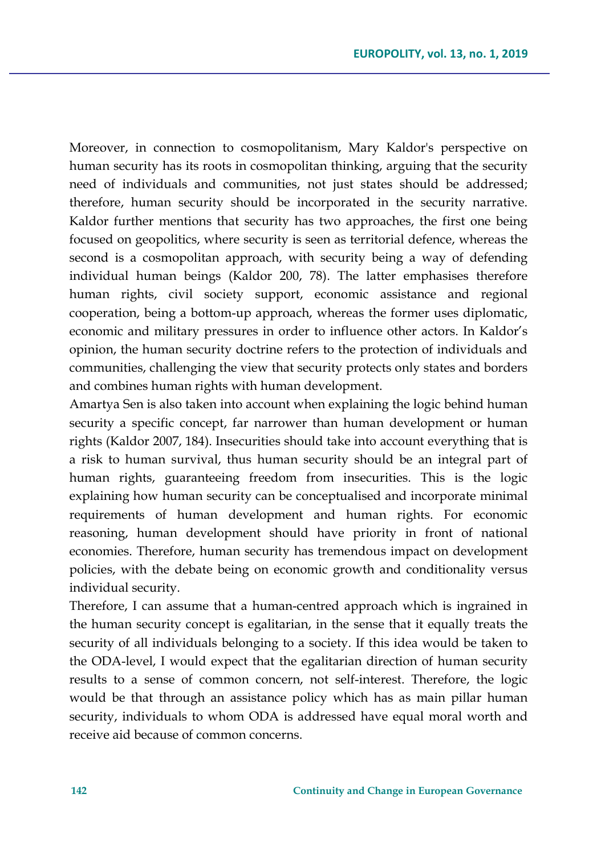Moreover, in connection to cosmopolitanism, Mary Kaldor's perspective on human security has its roots in cosmopolitan thinking, arguing that the security need of individuals and communities, not just states should be addressed; therefore, human security should be incorporated in the security narrative. Kaldor further mentions that security has two approaches, the first one being focused on geopolitics, where security is seen as territorial defence, whereas the second is a cosmopolitan approach, with security being a way of defending individual human beings (Kaldor 200, 78). The latter emphasises therefore human rights, civil society support, economic assistance and regional cooperation, being a bottom-up approach, whereas the former uses diplomatic, economic and military pressures in order to influence other actors. In Kaldor's opinion, the human security doctrine refers to the protection of individuals and communities, challenging the view that security protects only states and borders and combines human rights with human development.

Amartya Sen is also taken into account when explaining the logic behind human security a specific concept, far narrower than human development or human rights (Kaldor 2007, 184). Insecurities should take into account everything that is a risk to human survival, thus human security should be an integral part of human rights, guaranteeing freedom from insecurities. This is the logic explaining how human security can be conceptualised and incorporate minimal requirements of human development and human rights. For economic reasoning, human development should have priority in front of national economies. Therefore, human security has tremendous impact on development policies, with the debate being on economic growth and conditionality versus individual security.

Therefore, I can assume that a human-centred approach which is ingrained in the human security concept is egalitarian, in the sense that it equally treats the security of all individuals belonging to a society. If this idea would be taken to the ODA-level, I would expect that the egalitarian direction of human security results to a sense of common concern, not self-interest. Therefore, the logic would be that through an assistance policy which has as main pillar human security, individuals to whom ODA is addressed have equal moral worth and receive aid because of common concerns.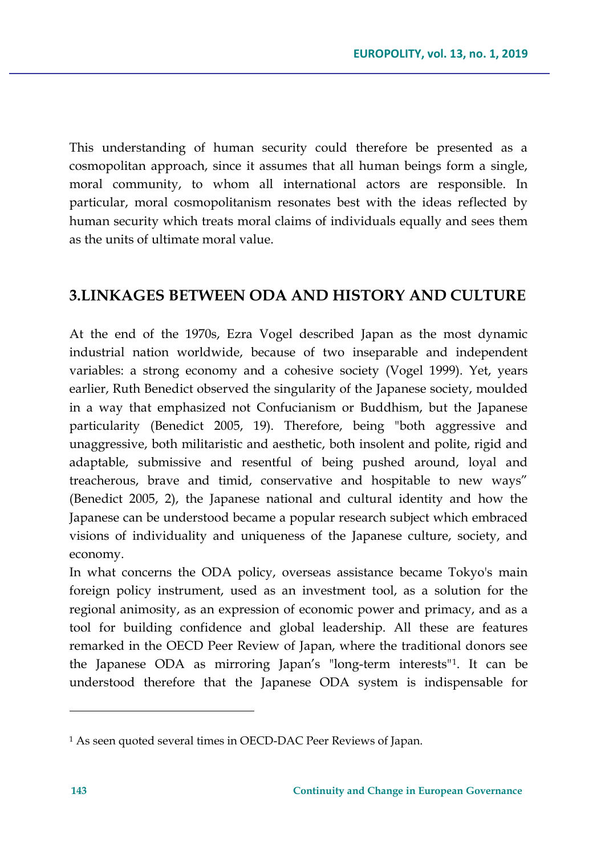This understanding of human security could therefore be presented as a cosmopolitan approach, since it assumes that all human beings form a single, moral community, to whom all international actors are responsible. In particular, moral cosmopolitanism resonates best with the ideas reflected by human security which treats moral claims of individuals equally and sees them as the units of ultimate moral value.

### **3.LINKAGES BETWEEN ODA AND HISTORY AND CULTURE**

At the end of the 1970s, Ezra Vogel described Japan as the most dynamic industrial nation worldwide, because of two inseparable and independent variables: a strong economy and a cohesive society (Vogel 1999). Yet, years earlier, Ruth Benedict observed the singularity of the Japanese society, moulded in a way that emphasized not Confucianism or Buddhism, but the Japanese particularity (Benedict 2005, 19). Therefore, being "both aggressive and unaggressive, both militaristic and aesthetic, both insolent and polite, rigid and adaptable, submissive and resentful of being pushed around, loyal and treacherous, brave and timid, conservative and hospitable to new ways" (Benedict 2005, 2), the Japanese national and cultural identity and how the Japanese can be understood became a popular research subject which embraced visions of individuality and uniqueness of the Japanese culture, society, and economy.

In what concerns the ODA policy, overseas assistance became Tokyo's main foreign policy instrument, used as an investment tool, as a solution for the regional animosity, as an expression of economic power and primacy, and as a tool for building confidence and global leadership. All these are features remarked in the OECD Peer Review of Japan, where the traditional donors see the Japanese ODA as mirroring Japan's "long-term interests"[1](#page-10-0). It can be understood therefore that the Japanese ODA system is indispensable for

l

<span id="page-10-0"></span><sup>1</sup> As seen quoted several times in OECD-DAC Peer Reviews of Japan.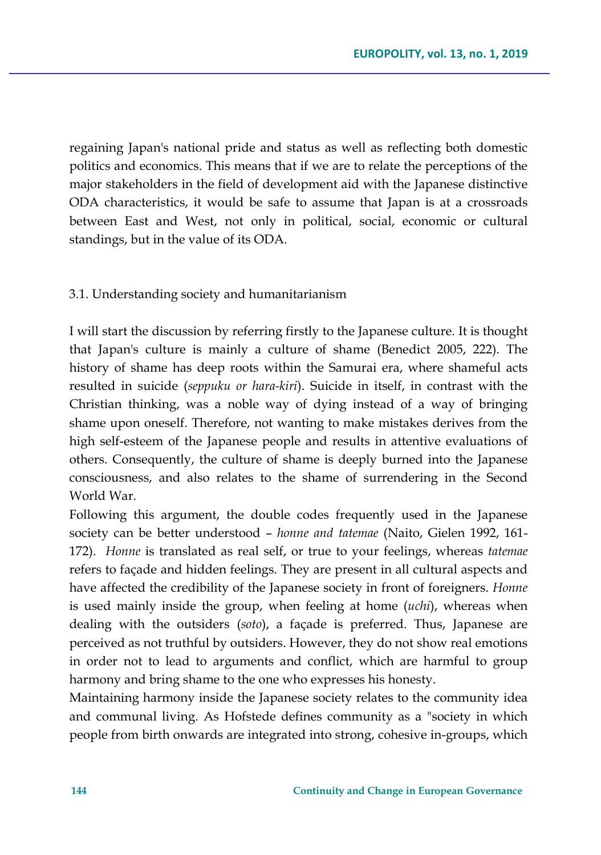regaining Japan's national pride and status as well as reflecting both domestic politics and economics. This means that if we are to relate the perceptions of the major stakeholders in the field of development aid with the Japanese distinctive ODA characteristics, it would be safe to assume that Japan is at a crossroads between East and West, not only in political, social, economic or cultural standings, but in the value of its ODA.

### 3.1. Understanding society and humanitarianism

I will start the discussion by referring firstly to the Japanese culture. It is thought that Japan's culture is mainly a culture of shame (Benedict 2005, 222). The history of shame has deep roots within the Samurai era, where shameful acts resulted in suicide (*seppuku or hara-kiri*). Suicide in itself, in contrast with the Christian thinking, was a noble way of dying instead of a way of bringing shame upon oneself. Therefore, not wanting to make mistakes derives from the high self-esteem of the Japanese people and results in attentive evaluations of others. Consequently, the culture of shame is deeply burned into the Japanese consciousness, and also relates to the shame of surrendering in the Second World War.

Following this argument, the double codes frequently used in the Japanese society can be better understood – *honne and tatemae* (Naito, Gielen 1992, 161- 172). *Honne* is translated as real self, or true to your feelings, whereas *tatemae* refers to façade and hidden feelings. They are present in all cultural aspects and have affected the credibility of the Japanese society in front of foreigners. *Honne* is used mainly inside the group, when feeling at home (*uchi*), whereas when dealing with the outsiders (*soto*), a façade is preferred. Thus, Japanese are perceived as not truthful by outsiders. However, they do not show real emotions in order not to lead to arguments and conflict, which are harmful to group harmony and bring shame to the one who expresses his honesty.

Maintaining harmony inside the Japanese society relates to the community idea and communal living. As Hofstede defines community as a "society in which people from birth onwards are integrated into strong, cohesive in-groups, which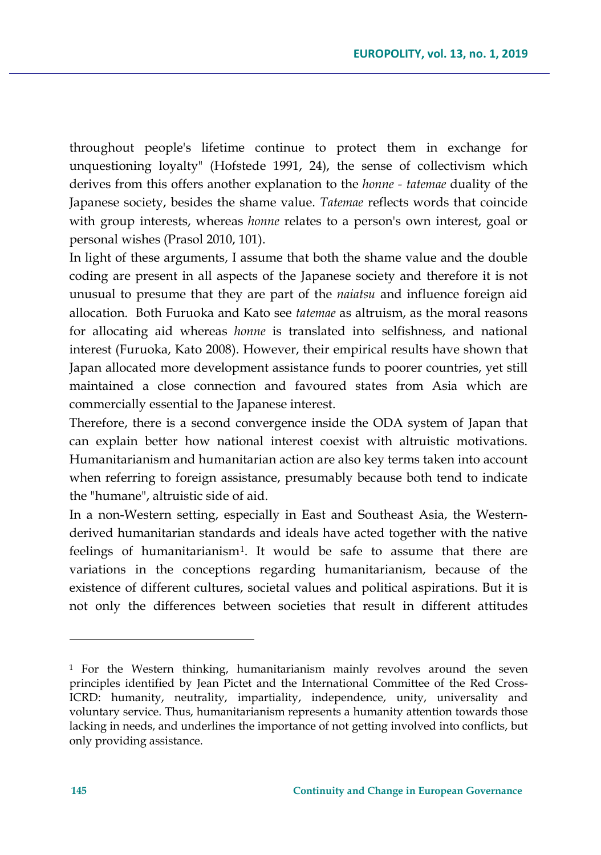throughout people's lifetime continue to protect them in exchange for unquestioning loyalty" (Hofstede 1991, 24), the sense of collectivism which derives from this offers another explanation to the *honne - tatemae* duality of the Japanese society, besides the shame value. *Tatemae* reflects words that coincide with group interests, whereas *honne* relates to a person's own interest, goal or personal wishes (Prasol 2010, 101).

In light of these arguments, I assume that both the shame value and the double coding are present in all aspects of the Japanese society and therefore it is not unusual to presume that they are part of the *naiatsu* and influence foreign aid allocation. Both Furuoka and Kato see *tatemae* as altruism, as the moral reasons for allocating aid whereas *honne* is translated into selfishness, and national interest (Furuoka, Kato 2008). However, their empirical results have shown that Japan allocated more development assistance funds to poorer countries, yet still maintained a close connection and favoured states from Asia which are commercially essential to the Japanese interest.

Therefore, there is a second convergence inside the ODA system of Japan that can explain better how national interest coexist with altruistic motivations. Humanitarianism and humanitarian action are also key terms taken into account when referring to foreign assistance, presumably because both tend to indicate the "humane", altruistic side of aid.

In a non-Western setting, especially in East and Southeast Asia, the Westernderived humanitarian standards and ideals have acted together with the native feelings of humanitarianism[1](#page-12-0). It would be safe to assume that there are variations in the conceptions regarding humanitarianism, because of the existence of different cultures, societal values and political aspirations. But it is not only the differences between societies that result in different attitudes

l

<span id="page-12-0"></span><sup>1</sup> For the Western thinking, humanitarianism mainly revolves around the seven principles identified by Jean Pictet and the International Committee of the Red Cross-ICRD: humanity, neutrality, impartiality, independence, unity, universality and voluntary service. Thus, humanitarianism represents a humanity attention towards those lacking in needs, and underlines the importance of not getting involved into conflicts, but only providing assistance.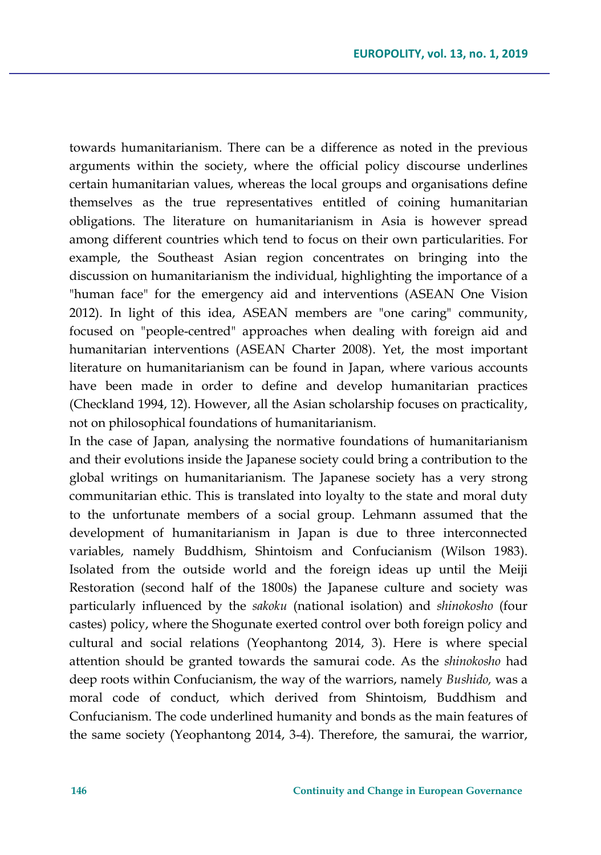towards humanitarianism. There can be a difference as noted in the previous arguments within the society, where the official policy discourse underlines certain humanitarian values, whereas the local groups and organisations define themselves as the true representatives entitled of coining humanitarian obligations. The literature on humanitarianism in Asia is however spread among different countries which tend to focus on their own particularities. For example, the Southeast Asian region concentrates on bringing into the discussion on humanitarianism the individual, highlighting the importance of a "human face" for the emergency aid and interventions (ASEAN One Vision 2012). In light of this idea, ASEAN members are "one caring" community, focused on "people-centred" approaches when dealing with foreign aid and humanitarian interventions (ASEAN Charter 2008). Yet, the most important literature on humanitarianism can be found in Japan, where various accounts have been made in order to define and develop humanitarian practices (Checkland 1994, 12). However, all the Asian scholarship focuses on practicality, not on philosophical foundations of humanitarianism.

In the case of Japan, analysing the normative foundations of humanitarianism and their evolutions inside the Japanese society could bring a contribution to the global writings on humanitarianism. The Japanese society has a very strong communitarian ethic. This is translated into loyalty to the state and moral duty to the unfortunate members of a social group. Lehmann assumed that the development of humanitarianism in Japan is due to three interconnected variables, namely Buddhism, Shintoism and Confucianism (Wilson 1983). Isolated from the outside world and the foreign ideas up until the Meiji Restoration (second half of the 1800s) the Japanese culture and society was particularly influenced by the *sakoku* (national isolation) and *shinokosho* (four castes) policy, where the Shogunate exerted control over both foreign policy and cultural and social relations (Yeophantong 2014, 3). Here is where special attention should be granted towards the samurai code. As the *shinokosho* had deep roots within Confucianism, the way of the warriors, namely *Bushido,* was a moral code of conduct, which derived from Shintoism, Buddhism and Confucianism. The code underlined humanity and bonds as the main features of the same society (Yeophantong 2014, 3-4). Therefore, the samurai, the warrior,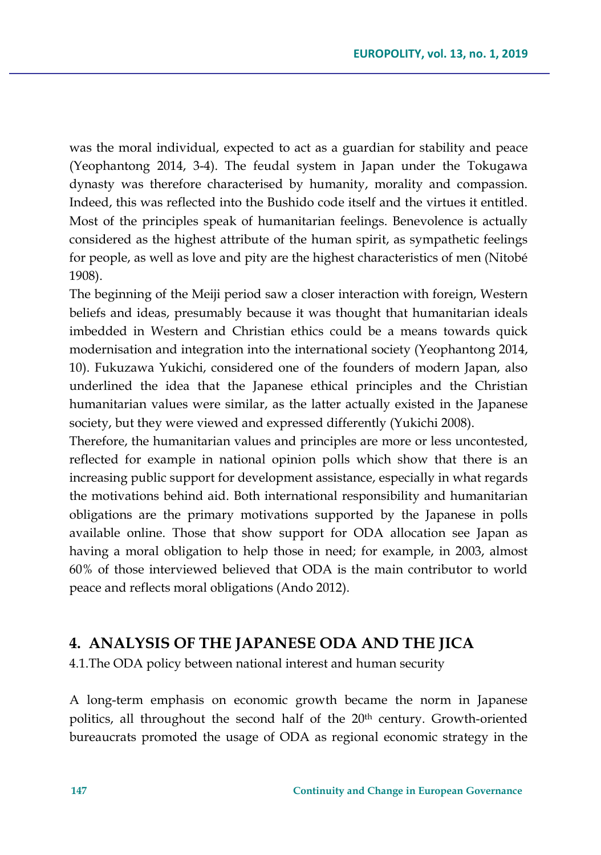was the moral individual, expected to act as a guardian for stability and peace (Yeophantong 2014, 3-4). The feudal system in Japan under the Tokugawa dynasty was therefore characterised by humanity, morality and compassion. Indeed, this was reflected into the Bushido code itself and the virtues it entitled. Most of the principles speak of humanitarian feelings. Benevolence is actually considered as the highest attribute of the human spirit, as sympathetic feelings for people, as well as love and pity are the highest characteristics of men (Nitobé 1908).

The beginning of the Meiji period saw a closer interaction with foreign, Western beliefs and ideas, presumably because it was thought that humanitarian ideals imbedded in Western and Christian ethics could be a means towards quick modernisation and integration into the international society (Yeophantong 2014, 10). Fukuzawa Yukichi, considered one of the founders of modern Japan, also underlined the idea that the Japanese ethical principles and the Christian humanitarian values were similar, as the latter actually existed in the Japanese society, but they were viewed and expressed differently (Yukichi 2008).

Therefore, the humanitarian values and principles are more or less uncontested, reflected for example in national opinion polls which show that there is an increasing public support for development assistance, especially in what regards the motivations behind aid. Both international responsibility and humanitarian obligations are the primary motivations supported by the Japanese in polls available online. Those that show support for ODA allocation see Japan as having a moral obligation to help those in need; for example, in 2003, almost 60% of those interviewed believed that ODA is the main contributor to world peace and reflects moral obligations (Ando 2012).

### **4. ANALYSIS OF THE JAPANESE ODA AND THE JICA**

4.1.The ODA policy between national interest and human security

A long-term emphasis on economic growth became the norm in Japanese politics, all throughout the second half of the 20<sup>th</sup> century. Growth-oriented bureaucrats promoted the usage of ODA as regional economic strategy in the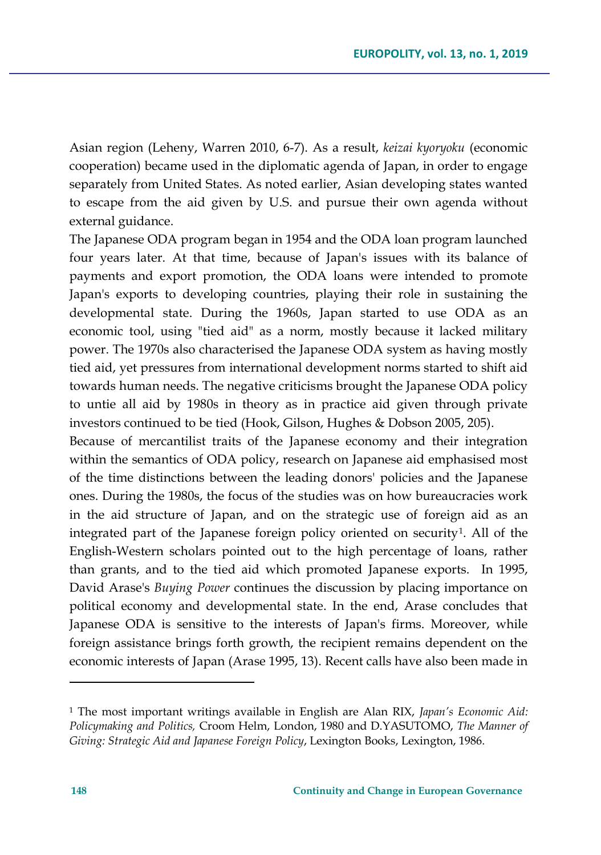Asian region (Leheny, Warren 2010, 6-7). As a result, *keizai kyoryoku* (economic cooperation) became used in the diplomatic agenda of Japan, in order to engage separately from United States. As noted earlier, Asian developing states wanted to escape from the aid given by U.S. and pursue their own agenda without external guidance.

The Japanese ODA program began in 1954 and the ODA loan program launched four years later. At that time, because of Japan's issues with its balance of payments and export promotion, the ODA loans were intended to promote Japan's exports to developing countries, playing their role in sustaining the developmental state. During the 1960s, Japan started to use ODA as an economic tool, using "tied aid" as a norm, mostly because it lacked military power. The 1970s also characterised the Japanese ODA system as having mostly tied aid, yet pressures from international development norms started to shift aid towards human needs. The negative criticisms brought the Japanese ODA policy to untie all aid by 1980s in theory as in practice aid given through private investors continued to be tied (Hook, Gilson, Hughes & Dobson 2005, 205).

Because of mercantilist traits of the Japanese economy and their integration within the semantics of ODA policy, research on Japanese aid emphasised most of the time distinctions between the leading donors' policies and the Japanese ones. During the 1980s, the focus of the studies was on how bureaucracies work in the aid structure of Japan, and on the strategic use of foreign aid as an integrated part of the Japanese foreign policy oriented on security<sup>[1](#page-15-0)</sup>. All of the English-Western scholars pointed out to the high percentage of loans, rather than grants, and to the tied aid which promoted Japanese exports. In 1995, David Arase's *Buying Power* continues the discussion by placing importance on political economy and developmental state. In the end, Arase concludes that Japanese ODA is sensitive to the interests of Japan's firms. Moreover, while foreign assistance brings forth growth, the recipient remains dependent on the economic interests of Japan (Arase 1995, 13). Recent calls have also been made in

 $\overline{\phantom{a}}$ 

<span id="page-15-0"></span><sup>1</sup> The most important writings available in English are Alan RIX, *Japan's Economic Aid: Policymaking and Politics,* Croom Helm, London, 1980 and D.YASUTOMO, *The Manner of Giving: Strategic Aid and Japanese Foreign Policy*, Lexington Books, Lexington, 1986.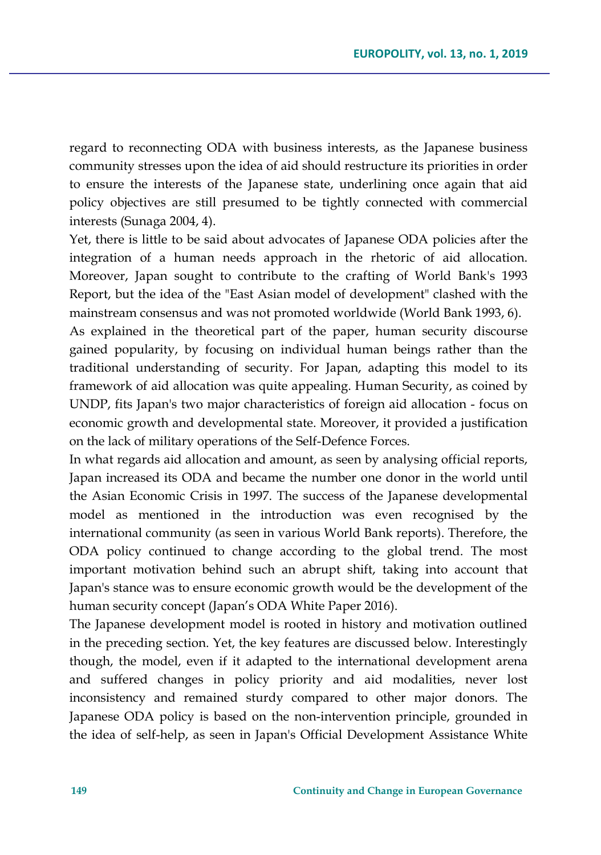regard to reconnecting ODA with business interests, as the Japanese business community stresses upon the idea of aid should restructure its priorities in order to ensure the interests of the Japanese state, underlining once again that aid policy objectives are still presumed to be tightly connected with commercial interests (Sunaga 2004, 4).

Yet, there is little to be said about advocates of Japanese ODA policies after the integration of a human needs approach in the rhetoric of aid allocation. Moreover, Japan sought to contribute to the crafting of World Bank's 1993 Report, but the idea of the "East Asian model of development" clashed with the mainstream consensus and was not promoted worldwide (World Bank 1993, 6).

As explained in the theoretical part of the paper, human security discourse gained popularity, by focusing on individual human beings rather than the traditional understanding of security. For Japan, adapting this model to its framework of aid allocation was quite appealing. Human Security, as coined by UNDP, fits Japan's two major characteristics of foreign aid allocation - focus on economic growth and developmental state. Moreover, it provided a justification on the lack of military operations of the Self-Defence Forces.

In what regards aid allocation and amount, as seen by analysing official reports, Japan increased its ODA and became the number one donor in the world until the Asian Economic Crisis in 1997. The success of the Japanese developmental model as mentioned in the introduction was even recognised by the international community (as seen in various World Bank reports). Therefore, the ODA policy continued to change according to the global trend. The most important motivation behind such an abrupt shift, taking into account that Japan's stance was to ensure economic growth would be the development of the human security concept (Japan's ODA White Paper 2016).

The Japanese development model is rooted in history and motivation outlined in the preceding section. Yet, the key features are discussed below. Interestingly though, the model, even if it adapted to the international development arena and suffered changes in policy priority and aid modalities, never lost inconsistency and remained sturdy compared to other major donors. The Japanese ODA policy is based on the non-intervention principle, grounded in the idea of self-help, as seen in Japan's Official Development Assistance White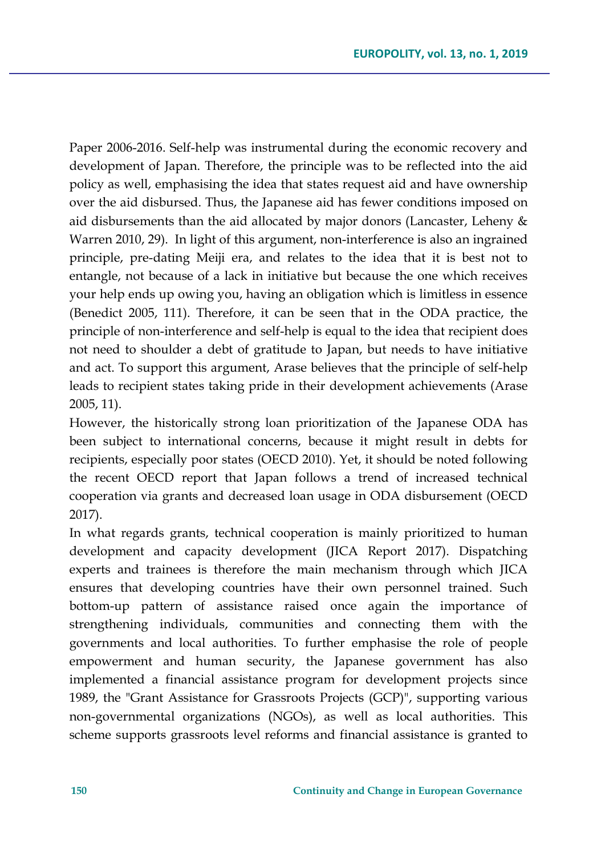Paper 2006-2016. Self-help was instrumental during the economic recovery and development of Japan. Therefore, the principle was to be reflected into the aid policy as well, emphasising the idea that states request aid and have ownership over the aid disbursed. Thus, the Japanese aid has fewer conditions imposed on aid disbursements than the aid allocated by major donors (Lancaster, Leheny & Warren 2010, 29). In light of this argument, non-interference is also an ingrained principle, pre-dating Meiji era, and relates to the idea that it is best not to entangle, not because of a lack in initiative but because the one which receives your help ends up owing you, having an obligation which is limitless in essence (Benedict 2005, 111). Therefore, it can be seen that in the ODA practice, the principle of non-interference and self-help is equal to the idea that recipient does not need to shoulder a debt of gratitude to Japan, but needs to have initiative and act. To support this argument, Arase believes that the principle of self-help leads to recipient states taking pride in their development achievements (Arase 2005, 11).

However, the historically strong loan prioritization of the Japanese ODA has been subject to international concerns, because it might result in debts for recipients, especially poor states (OECD 2010). Yet, it should be noted following the recent OECD report that Japan follows a trend of increased technical cooperation via grants and decreased loan usage in ODA disbursement (OECD 2017).

In what regards grants, technical cooperation is mainly prioritized to human development and capacity development (JICA Report 2017). Dispatching experts and trainees is therefore the main mechanism through which JICA ensures that developing countries have their own personnel trained. Such bottom-up pattern of assistance raised once again the importance of strengthening individuals, communities and connecting them with the governments and local authorities. To further emphasise the role of people empowerment and human security, the Japanese government has also implemented a financial assistance program for development projects since 1989, the "Grant Assistance for Grassroots Projects (GCP)", supporting various non-governmental organizations (NGOs), as well as local authorities. This scheme supports grassroots level reforms and financial assistance is granted to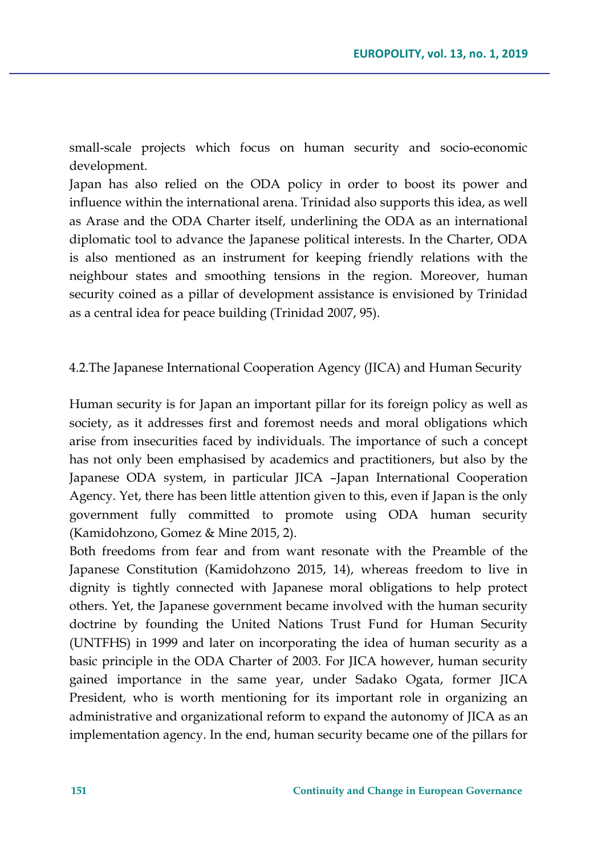small-scale projects which focus on human security and socio-economic development.

Japan has also relied on the ODA policy in order to boost its power and influence within the international arena. Trinidad also supports this idea, as well as Arase and the ODA Charter itself, underlining the ODA as an international diplomatic tool to advance the Japanese political interests. In the Charter, ODA is also mentioned as an instrument for keeping friendly relations with the neighbour states and smoothing tensions in the region. Moreover, human security coined as a pillar of development assistance is envisioned by Trinidad as a central idea for peace building (Trinidad 2007, 95).

### 4.2.The Japanese International Cooperation Agency (JICA) and Human Security

Human security is for Japan an important pillar for its foreign policy as well as society, as it addresses first and foremost needs and moral obligations which arise from insecurities faced by individuals. The importance of such a concept has not only been emphasised by academics and practitioners, but also by the Japanese ODA system, in particular JICA –Japan International Cooperation Agency. Yet, there has been little attention given to this, even if Japan is the only government fully committed to promote using ODA human security (Kamidohzono, Gomez & Mine 2015, 2).

Both freedoms from fear and from want resonate with the Preamble of the Japanese Constitution (Kamidohzono 2015, 14), whereas freedom to live in dignity is tightly connected with Japanese moral obligations to help protect others. Yet, the Japanese government became involved with the human security doctrine by founding the United Nations Trust Fund for Human Security (UNTFHS) in 1999 and later on incorporating the idea of human security as a basic principle in the ODA Charter of 2003. For JICA however, human security gained importance in the same year, under Sadako Ogata, former JICA President, who is worth mentioning for its important role in organizing an administrative and organizational reform to expand the autonomy of JICA as an implementation agency. In the end, human security became one of the pillars for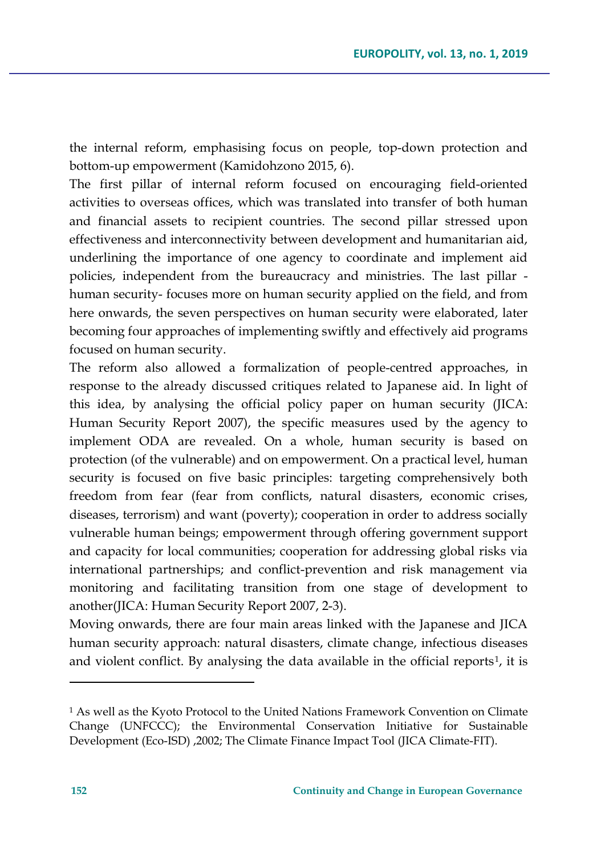the internal reform, emphasising focus on people, top-down protection and bottom-up empowerment (Kamidohzono 2015, 6).

The first pillar of internal reform focused on encouraging field-oriented activities to overseas offices, which was translated into transfer of both human and financial assets to recipient countries. The second pillar stressed upon effectiveness and interconnectivity between development and humanitarian aid, underlining the importance of one agency to coordinate and implement aid policies, independent from the bureaucracy and ministries. The last pillar human security- focuses more on human security applied on the field, and from here onwards, the seven perspectives on human security were elaborated, later becoming four approaches of implementing swiftly and effectively aid programs focused on human security.

The reform also allowed a formalization of people-centred approaches, in response to the already discussed critiques related to Japanese aid. In light of this idea, by analysing the official policy paper on human security (JICA: Human Security Report 2007), the specific measures used by the agency to implement ODA are revealed. On a whole, human security is based on protection (of the vulnerable) and on empowerment. On a practical level, human security is focused on five basic principles: targeting comprehensively both freedom from fear (fear from conflicts, natural disasters, economic crises, diseases, terrorism) and want (poverty); cooperation in order to address socially vulnerable human beings; empowerment through offering government support and capacity for local communities; cooperation for addressing global risks via international partnerships; and conflict-prevention and risk management via monitoring and facilitating transition from one stage of development to another(JICA: Human Security Report 2007, 2-3).

Moving onwards, there are four main areas linked with the Japanese and JICA human security approach: natural disasters, climate change, infectious diseases and violent conflict. By analysing the data available in the official reports<sup>[1](#page-19-0)</sup>, it is

 $\overline{\phantom{a}}$ 

<span id="page-19-0"></span><sup>1</sup> As well as the Kyoto Protocol to the United Nations Framework Convention on Climate Change (UNFCCC); the Environmental Conservation Initiative for Sustainable Development (Eco-ISD) ,2002; The Climate Finance Impact Tool (JICA Climate-FIT).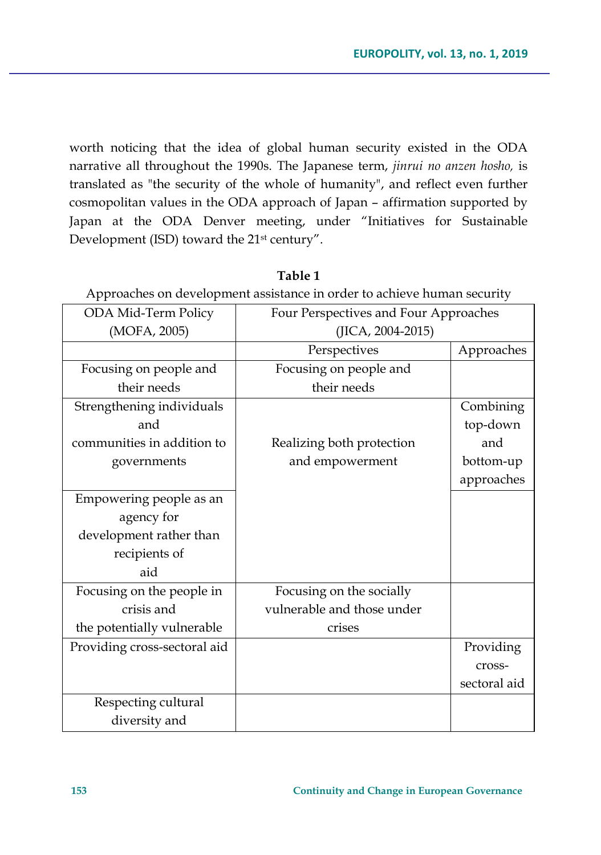worth noticing that the idea of global human security existed in the ODA narrative all throughout the 1990s. The Japanese term, *jinrui no anzen hosho,* is translated as "the security of the whole of humanity", and reflect even further cosmopolitan values in the ODA approach of Japan – affirmation supported by Japan at the ODA Denver meeting, under "Initiatives for Sustainable Development (ISD) toward the 21st century".

| Approaches on development assistance in order to achieve numan security |                                       |              |
|-------------------------------------------------------------------------|---------------------------------------|--------------|
| ODA Mid-Term Policy                                                     | Four Perspectives and Four Approaches |              |
| (MOFA, 2005)                                                            | (JICA, 2004-2015)                     |              |
|                                                                         | Perspectives                          | Approaches   |
| Focusing on people and                                                  | Focusing on people and                |              |
| their needs                                                             | their needs                           |              |
| Strengthening individuals                                               |                                       | Combining    |
| and                                                                     |                                       | top-down     |
| communities in addition to                                              | Realizing both protection             | and          |
| governments                                                             | and empowerment                       | bottom-up    |
|                                                                         |                                       | approaches   |
| Empowering people as an                                                 |                                       |              |
| agency for                                                              |                                       |              |
| development rather than                                                 |                                       |              |
| recipients of                                                           |                                       |              |
| aid                                                                     |                                       |              |
| Focusing on the people in                                               | Focusing on the socially              |              |
| crisis and                                                              | vulnerable and those under            |              |
| the potentially vulnerable                                              | crises                                |              |
| Providing cross-sectoral aid                                            |                                       | Providing    |
|                                                                         |                                       | cross-       |
|                                                                         |                                       | sectoral aid |
| Respecting cultural                                                     |                                       |              |
| diversity and                                                           |                                       |              |

**Table 1**

Approaches on development assistance in order to achieve human security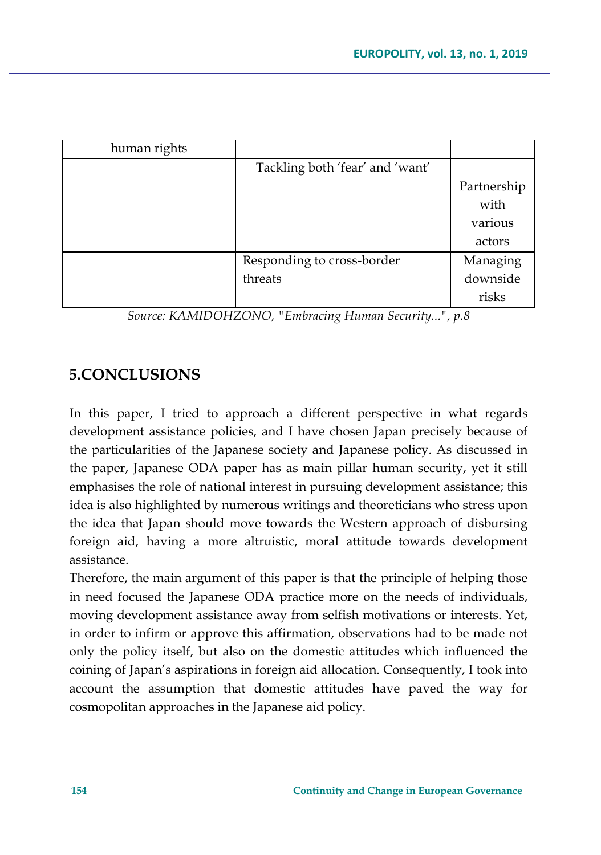| Tackling both 'fear' and 'want' |             |
|---------------------------------|-------------|
|                                 | Partnership |
|                                 | with        |
|                                 | various     |
|                                 | actors      |
| Responding to cross-border      | Managing    |
| threats                         | downside    |
|                                 | risks       |
|                                 |             |

*Source: KAMIDOHZONO, "Embracing Human Security...", p.8*

## **5.CONCLUSIONS**

In this paper, I tried to approach a different perspective in what regards development assistance policies, and I have chosen Japan precisely because of the particularities of the Japanese society and Japanese policy. As discussed in the paper, Japanese ODA paper has as main pillar human security, yet it still emphasises the role of national interest in pursuing development assistance; this idea is also highlighted by numerous writings and theoreticians who stress upon the idea that Japan should move towards the Western approach of disbursing foreign aid, having a more altruistic, moral attitude towards development assistance.

Therefore, the main argument of this paper is that the principle of helping those in need focused the Japanese ODA practice more on the needs of individuals, moving development assistance away from selfish motivations or interests. Yet, in order to infirm or approve this affirmation, observations had to be made not only the policy itself, but also on the domestic attitudes which influenced the coining of Japan's aspirations in foreign aid allocation. Consequently, I took into account the assumption that domestic attitudes have paved the way for cosmopolitan approaches in the Japanese aid policy.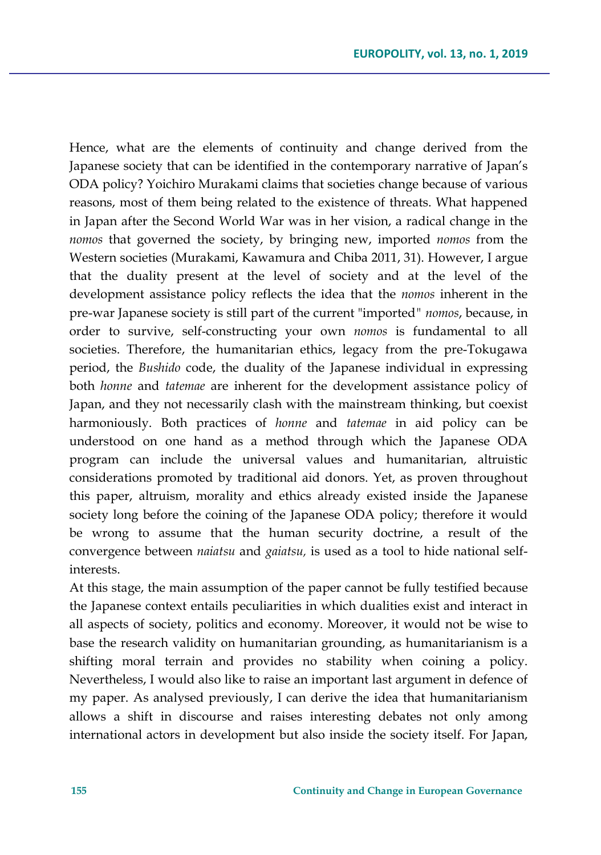Hence, what are the elements of continuity and change derived from the Japanese society that can be identified in the contemporary narrative of Japan's ODA policy? Yoichiro Murakami claims that societies change because of various reasons, most of them being related to the existence of threats. What happened in Japan after the Second World War was in her vision, a radical change in the *nomos* that governed the society, by bringing new, imported *nomos* from the Western societies (Murakami, Kawamura and Chiba 2011, 31). However, I argue that the duality present at the level of society and at the level of the development assistance policy reflects the idea that the *nomos* inherent in the pre-war Japanese society is still part of the current "imported*" nomos*, because, in order to survive, self-constructing your own *nomos* is fundamental to all societies. Therefore, the humanitarian ethics, legacy from the pre-Tokugawa period, the *Bushido* code, the duality of the Japanese individual in expressing both *honne* and *tatemae* are inherent for the development assistance policy of Japan, and they not necessarily clash with the mainstream thinking, but coexist harmoniously. Both practices of *honne* and *tatemae* in aid policy can be understood on one hand as a method through which the Japanese ODA program can include the universal values and humanitarian, altruistic considerations promoted by traditional aid donors. Yet, as proven throughout this paper, altruism, morality and ethics already existed inside the Japanese society long before the coining of the Japanese ODA policy; therefore it would be wrong to assume that the human security doctrine, a result of the convergence between *naiatsu* and *gaiatsu,* is used as a tool to hide national selfinterests.

At this stage, the main assumption of the paper cannot be fully testified because the Japanese context entails peculiarities in which dualities exist and interact in all aspects of society, politics and economy. Moreover, it would not be wise to base the research validity on humanitarian grounding, as humanitarianism is a shifting moral terrain and provides no stability when coining a policy. Nevertheless, I would also like to raise an important last argument in defence of my paper. As analysed previously, I can derive the idea that humanitarianism allows a shift in discourse and raises interesting debates not only among international actors in development but also inside the society itself. For Japan,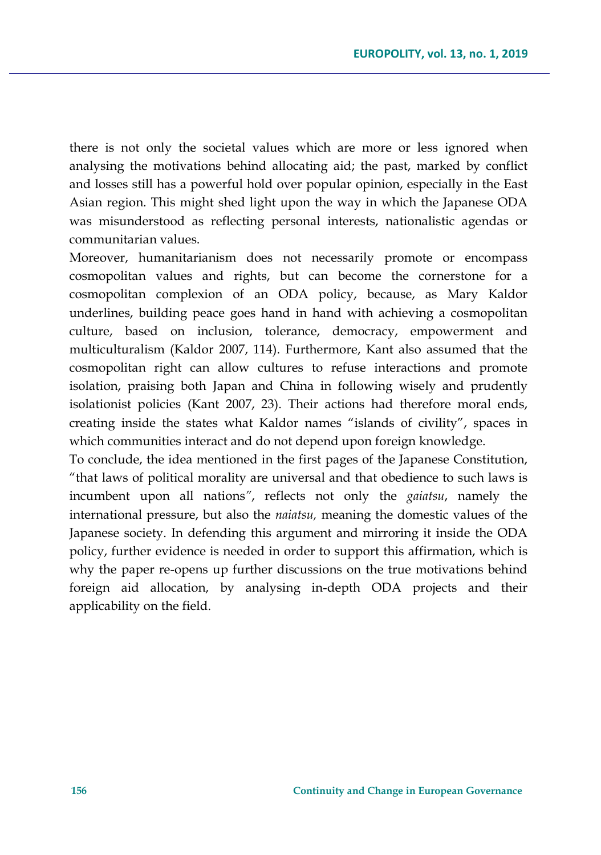there is not only the societal values which are more or less ignored when analysing the motivations behind allocating aid; the past, marked by conflict and losses still has a powerful hold over popular opinion, especially in the East Asian region. This might shed light upon the way in which the Japanese ODA was misunderstood as reflecting personal interests, nationalistic agendas or communitarian values.

Moreover, humanitarianism does not necessarily promote or encompass cosmopolitan values and rights, but can become the cornerstone for a cosmopolitan complexion of an ODA policy, because, as Mary Kaldor underlines, building peace goes hand in hand with achieving a cosmopolitan culture, based on inclusion, tolerance, democracy, empowerment and multiculturalism (Kaldor 2007, 114). Furthermore, Kant also assumed that the cosmopolitan right can allow cultures to refuse interactions and promote isolation, praising both Japan and China in following wisely and prudently isolationist policies (Kant 2007, 23). Their actions had therefore moral ends, creating inside the states what Kaldor names "islands of civility", spaces in which communities interact and do not depend upon foreign knowledge.

To conclude, the idea mentioned in the first pages of the Japanese Constitution, "that laws of political morality are universal and that obedience to such laws is incumbent upon all nations*"*, reflects not only the *gaiatsu*, namely the international pressure, but also the *naiatsu,* meaning the domestic values of the Japanese society. In defending this argument and mirroring it inside the ODA policy, further evidence is needed in order to support this affirmation, which is why the paper re-opens up further discussions on the true motivations behind foreign aid allocation, by analysing in-depth ODA projects and their applicability on the field.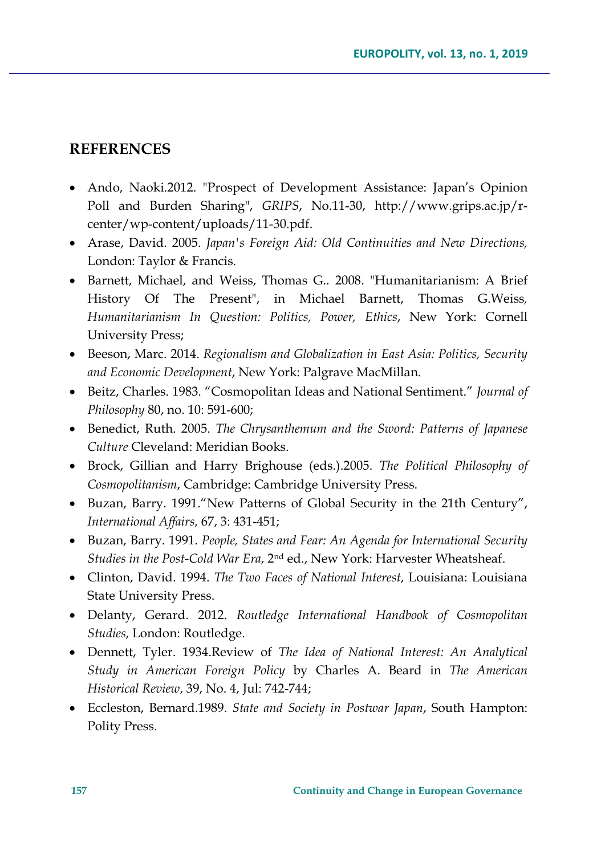### **REFERENCES**

- Ando, Naoki.2012. "Prospect of Development Assistance: Japan's Opinion Poll and Burden Sharing", *GRIPS*, No.11-30, http://www.grips.ac.jp/rcenter/wp-content/uploads/11-30.pdf.
- Arase, David. 2005. *Japan's Foreign Aid: Old Continuities and New Directions,* London: Taylor & Francis.
- Barnett, Michael, and Weiss, Thomas G.. 2008. "Humanitarianism: A Brief History Of The Present", in Michael Barnett, Thomas G.Weiss*, Humanitarianism In Question: Politics, Power, Ethics*, New York: Cornell University Press;
- Beeson, Marc. 2014. *Regionalism and Globalization in East Asia: Politics, Security and Economic Development*, New York: Palgrave MacMillan.
- Beitz, Charles. 1983. "Cosmopolitan Ideas and National Sentiment." *Journal of Philosophy* 80, no. 10: 591-600;
- Benedict, Ruth. 2005. *The Chrysanthemum and the Sword: Patterns of Japanese Culture* Cleveland: Meridian Books.
- Brock, Gillian and Harry Brighouse (eds.).2005. *The Political Philosophy of Cosmopolitanism*, Cambridge: Cambridge University Press.
- Buzan, Barry. 1991."New Patterns of Global Security in the 21th Century", *International Affairs*, 67, 3: 431-451;
- Buzan, Barry. 1991. *People, States and Fear: An Agenda for International Security Studies in the Post-Cold War Era*, 2nd ed., New York: Harvester Wheatsheaf.
- Clinton, David. 1994. *The Two Faces of National Interest*, Louisiana: Louisiana State University Press.
- Delanty, Gerard. 2012. *Routledge International Handbook of Cosmopolitan Studies*, London: Routledge.
- Dennett, Tyler. 1934.Review of *The Idea of National Interest: An Analytical Study in American Foreign Policy* by Charles A. Beard in *The American Historical Review*, 39, No. 4, Jul: 742-744;
- Eccleston, Bernard.1989. *State and Society in Postwar Japan*, South Hampton: Polity Press.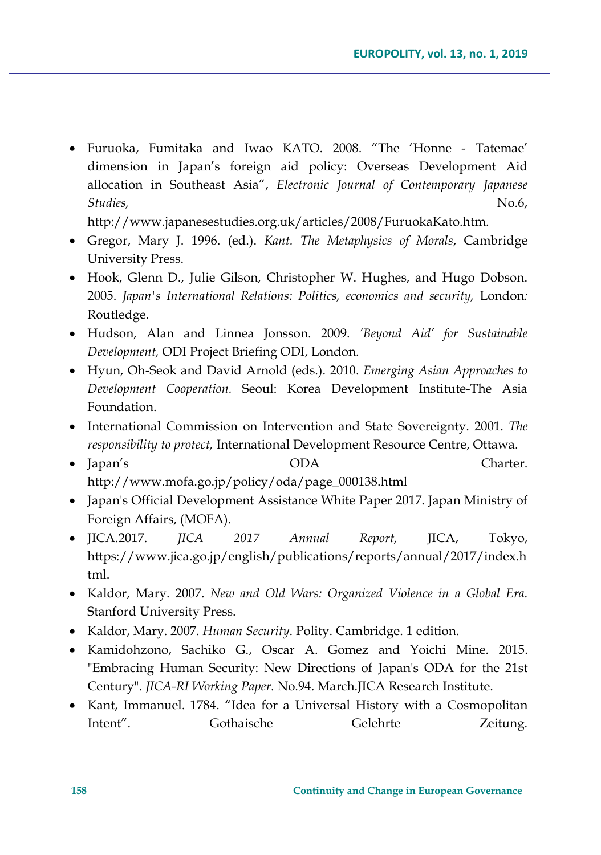• Furuoka, Fumitaka and Iwao KATO. 2008. "The 'Honne - Tatemae' dimension in Japan's foreign aid policy: Overseas Development Aid allocation in Southeast Asia", *Electronic Journal of Contemporary Japanese Studies,* No.6, No.6, No.6, No.6, No.6, No.6, No.6, No.6, No.6, No.6, No.6, No.6, No.6, No.6, No.6, No.6, No.6, No.6, No.6, No.6, No.6, No.6, No.6, No.6, No.6, No.6, No.6, No.6, No.6, No.6, No.6, No.6, No.6, No.6, No.6, N

http://www.japanesestudies.org.uk/articles/2008/FuruokaKato.htm.

- Gregor, Mary J. 1996. (ed.). *Kant. The Metaphysics of Morals*, Cambridge University Press.
- Hook, Glenn D., Julie Gilson, Christopher W. Hughes, and Hugo Dobson. 2005. *Japan's International Relations: Politics, economics and security,* London*:* Routledge.
- Hudson, Alan and Linnea Jonsson. 2009. *'Beyond Aid' for Sustainable Development,* ODI Project Briefing ODI, London.
- Hyun, Oh-Seok and David Arnold (eds.). 2010. *Emerging Asian Approaches to Development Cooperation.* Seoul: Korea Development Institute-The Asia Foundation.
- International Commission on Intervention and State Sovereignty. 2001. *The responsibility to protect,* International Development Resource Centre, Ottawa.
- Japan's **ODA** Charter. http://www.mofa.go.jp/policy/oda/page\_000138.html
- Japan's Official Development Assistance White Paper 2017. Japan Ministry of Foreign Affairs, (MOFA).
- JICA.2017. *JICA 2017 Annual Report,* JICA, Tokyo, https://www.jica.go.jp/english/publications/reports/annual/2017/index.h tml.
- Kaldor, Mary. 2007. *New and Old Wars: Organized Violence in a Global Era*. Stanford University Press.
- Kaldor, Mary. 2007. *Human Security*. Polity. Cambridge. 1 edition.
- Kamidohzono, Sachiko G., Oscar A. Gomez and Yoichi Mine. 2015. "Embracing Human Security: New Directions of Japan's ODA for the 21st Century". *JICA-RI Working Paper.* No.94. March.JICA Research Institute.
- Kant, Immanuel. 1784. "Idea for a Universal History with a Cosmopolitan Intent". Gothaische Gelehrte Zeitung.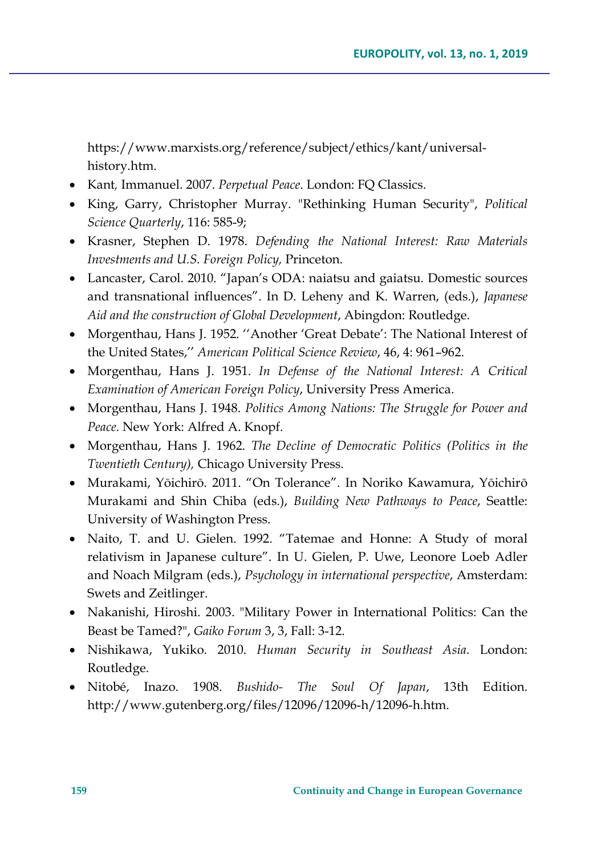https://www.marxists.org/reference/subject/ethics/kant/universalhistory.htm.

- Kant*,* Immanuel. 2007. *Perpetual Peace*. London: FQ Classics.
- King, Garry, Christopher Murray. "Rethinking Human Security", *Political Science Quarterly*, 116: 585-9;
- Krasner, Stephen D. 1978. *Defending the National Interest: Raw Materials Investments and U.S. Foreign Policy,* Princeton.
- Lancaster, Carol. 2010. "Japan's ODA: naiatsu and gaiatsu*.* Domestic sources and transnational influences". In D. Leheny and K. Warren, (eds.), *Japanese Aid and the construction of Global Development*, Abingdon: Routledge.
- Morgenthau, Hans J. 1952. ''Another 'Great Debate': The National Interest of the United States,'' *American Political Science Review*, 46, 4: 961–962.
- Morgenthau, Hans J. 1951. *In Defense of the National Interest: A Critical Examination of American Foreign Policy*, University Press America.
- Morgenthau, Hans J. 1948. *Politics Among Nations: The Struggle for Power and Peace*. New York: Alfred A. Knopf.
- Morgenthau, Hans J. 1962. *The Decline of Democratic Politics (Politics in the Twentieth Century),* Chicago University Press.
- Murakami, Yōichirō. 2011. "On Tolerance". In Noriko Kawamura, Yōichirō Murakami and Shin Chiba (eds.), *Building New Pathways to Peace*, Seattle: University of Washington Press.
- Naito, T. and U. Gielen. 1992. "Tatemae and Honne: A Study of moral relativism in Japanese culture". In U. Gielen, P. Uwe, Leonore Loeb Adler and Noach Milgram (eds.), *Psychology in international perspective*, Amsterdam: Swets and Zeitlinger.
- Nakanishi, Hiroshi. 2003. "Military Power in International Politics: Can the Beast be Tamed?", *Gaiko Forum* 3, 3, Fall: 3-12.
- Nishikawa, Yukiko. 2010. *Human Security in Southeast Asia*. London: Routledge.
- Nitobé, Inazo. 1908. *Bushido- The Soul Of Japan*, 13th Edition. http://www.gutenberg.org/files/12096/12096-h/12096-h.htm.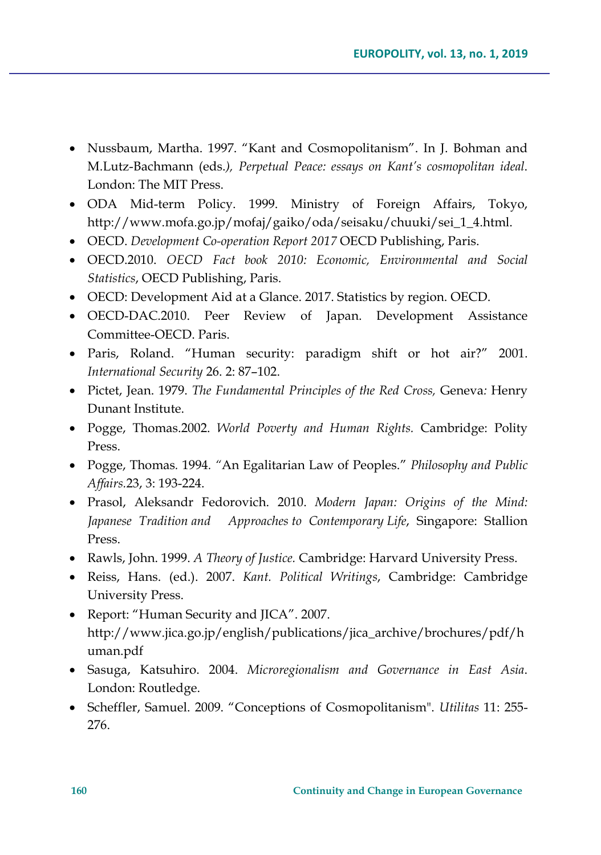- Nussbaum, Martha. 1997. "Kant and Cosmopolitanism". In J. Bohman and M.Lutz-Bachmann (eds.*), Perpetual Peace: essays on Kant's cosmopolitan ideal*. London: The MIT Press.
- ODA Mid-term Policy. 1999. Ministry of Foreign Affairs, Tokyo, http://www.mofa.go.jp/mofaj/gaiko/oda/seisaku/chuuki/sei\_1\_4.html.
- OECD. *Development Co-operation Report 2017* OECD Publishing, Paris.
- OECD.2010. *OECD Fact book 2010: Economic, Environmental and Social Statistics*, OECD Publishing, Paris.
- OECD: Development Aid at a Glance. 2017. Statistics by region. OECD.
- OECD-DAC.2010. Peer Review of Japan. Development Assistance Committee-OECD. Paris.
- Paris, Roland. "Human security: paradigm shift or hot air?" 2001. *International Security* 26. 2: 87–102.
- Pictet, Jean. 1979. *The Fundamental Principles of the Red Cross,* Geneva*:* Henry Dunant Institute.
- Pogge, Thomas.2002. *World Poverty and Human Rights.* Cambridge: Polity Press.
- Pogge, Thomas*.* 1994*. "*An Egalitarian Law of Peoples." *Philosophy and Public Affairs.*23, 3: 193-224.
- Prasol, Aleksandr Fedorovich. 2010. *Modern Japan: Origins of the Mind: Japanese Tradition and Approaches to Contemporary Life*, Singapore: Stallion Press.
- Rawls, John. 1999. *A Theory of Justice.* Cambridge: Harvard University Press.
- Reiss, Hans. (ed.). 2007. *Kant. Political Writings*, Cambridge: Cambridge University Press.
- Report: "Human Security and JICA". 2007. http://www.jica.go.jp/english/publications/jica\_archive/brochures/pdf/h uman.pdf
- Sasuga, Katsuhiro. 2004. *Microregionalism and Governance in East Asia*. London: Routledge.
- Scheffler, Samuel. 2009. "Conceptions of Cosmopolitanism". *Utilitas* 11: 255- 276.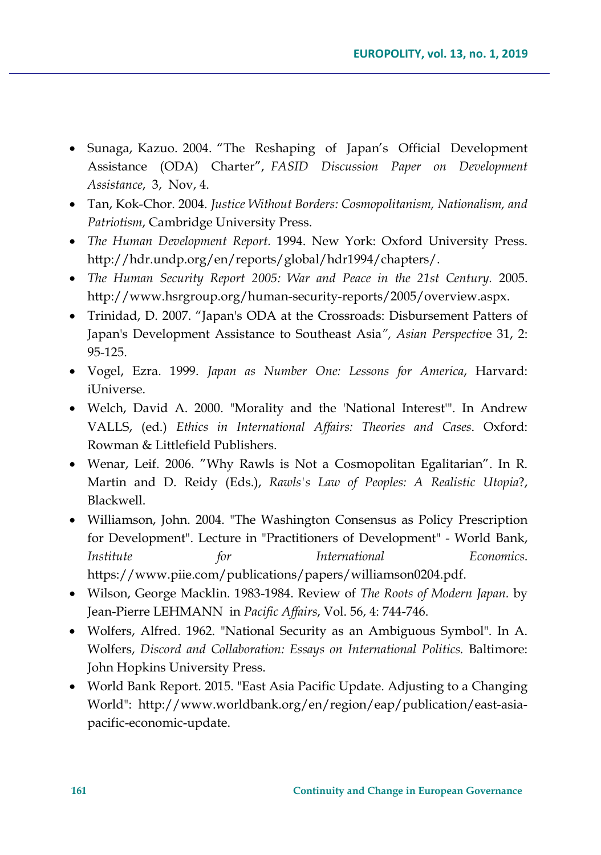- Sunaga, Kazuo. 2004. "The Reshaping of Japan's Official Development Assistance (ODA) Charter", *FASID Discussion Paper on Development Assistance*, 3, Nov, 4.
- Tan, Kok-Chor. 2004. *Justice Without Borders: Cosmopolitanism, Nationalism, and Patriotism*, Cambridge University Press.
- *The Human Development Report.* 1994. New York: Oxford University Press. http://hdr.undp.org/en/reports/global/hdr1994/chapters/.
- *The Human Security Report 2005: War and Peace in the 21st Century.* 2005. http://www.hsrgroup.org/human-security-reports/2005/overview.aspx.
- Trinidad, D. 2007. "Japan's ODA at the Crossroads: Disbursement Patters of Japan's Development Assistance to Southeast Asia*", Asian Perspectiv*e 31, 2: 95-125.
- Vogel, Ezra. 1999. *Japan as Number One: Lessons for America*, Harvard: iUniverse.
- Welch, David A. 2000. "Morality and the 'National Interest'". In Andrew VALLS, (ed.) *Ethics in International Affairs: Theories and Cases*. Oxford: Rowman & Littlefield Publishers.
- Wenar, Leif. 2006. "Why Rawls is Not a Cosmopolitan Egalitarian". In R. Martin and D. Reidy (Eds.), *Rawls's Law of Peoples: A Realistic Utopia*?, Blackwell.
- Williamson, John. 2004. "The Washington Consensus as Policy Prescription for Development". Lecture in "Practitioners of Development" - World Bank, *Institute for International Economics*. https://www.piie.com/publications/papers/williamson0204.pdf.
- Wilson, George Macklin. 1983-1984. Review of *The Roots of Modern Japan.* by Jean-Pierre LEHMANN in *Pacific Affairs*, Vol. 56, 4: 744-746.
- Wolfers, Alfred. 1962. "National Security as an Ambiguous Symbol". In A. Wolfers, *Discord and Collaboration: Essays on International Politics.* Baltimore: John Hopkins University Press.
- World Bank Report. 2015. "East Asia Pacific Update. Adjusting to a Changing World": http://www.worldbank.org/en/region/eap/publication/east-asiapacific-economic-update.